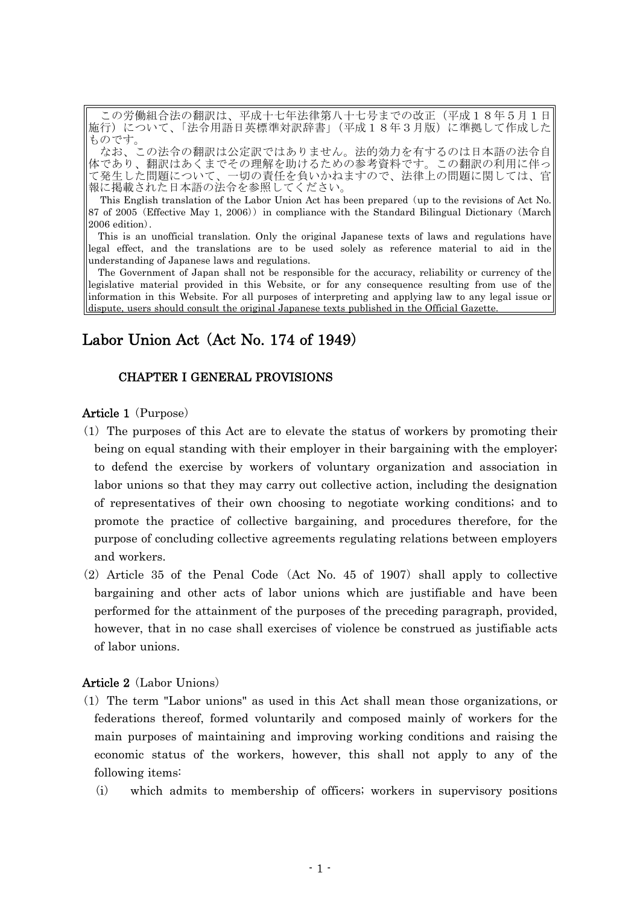この労働組合法の翻訳は、平成十七年法律第八十七号までの改正(平成18年5月1日 施行)について、「法令用語日英標準対訳辞書」(平成18年3月版)に準拠して作成した ものです。

なお、この法令の翻訳は公定訳ではありません。法的効力を有するのは日本語の法令自 体であり、翻訳はあくまでその理解を助けるための参考資料です。この翻訳の利用に伴っ 体であり、翻訳はあくまでその理解を助けるための参考資料です。この翻訳の利用に伴って発生した問題について、一切の責任を負いかねますので、法律上の問題に関しては、官 報に掲載された日本語の法令を参照してください。

This English translation of the Labor Union Act has been prepared (up to the revisions of Act No. 87 of 2005 (Effective May 1, 2006) in compliance with the Standard Bilingual Dictionary (March  $2006$  edition).

This is an unofficial translation. Only the original Japanese texts of laws and regulations have legal effect, and the translations are to be used solely as reference material to aid in the understanding of Japanese laws and regulations.

The Government of Japan shall not be responsible for the accuracy, reliability or currency of the legislative material provided in this Website, or for any consequence resulting from use of the information in this Website. For all purposes of interpreting and applying law to any legal issue or dispute, users should consult the original Japanese texts published in the Official Gazette.

# Labor Union Act  $(Act No. 174 of 1949)$

## CHAPTER I GENERAL PROVISIONS

## **Article 1** ( $Purpose$ )

- $(1)$  The purposes of this Act are to elevate the status of workers by promoting their being on equal standing with their employer in their bargaining with the employer; to defend the exercise by workers of voluntary organization and association in labor unions so that they may carry out collective action, including the designation of representatives of their own choosing to negotiate working conditions; and to promote the practice of collective bargaining, and procedures therefore, for the purpose of concluding collective agreements regulating relations between employers and workers.
- $(2)$  Article 35 of the Penal Code (Act No. 45 of 1907) shall apply to collective bargaining and other acts of labor unions which are justifiable and have been performed for the attainment of the purposes of the preceding paragraph, provided, however, that in no case shall exercises of violence be construed as justifiable acts of labor unions.

### Article 2 (Labor Unions)

- ( )1 The term "Labor unions" as used in this Act shall mean those organizations, or federations thereof, formed voluntarily and composed mainly of workers for the main purposes of maintaining and improving working conditions and raising the economic status of the workers, however, this shall not apply to any of the following items:
	- (i) which admits to membership of officers; workers in supervisory positions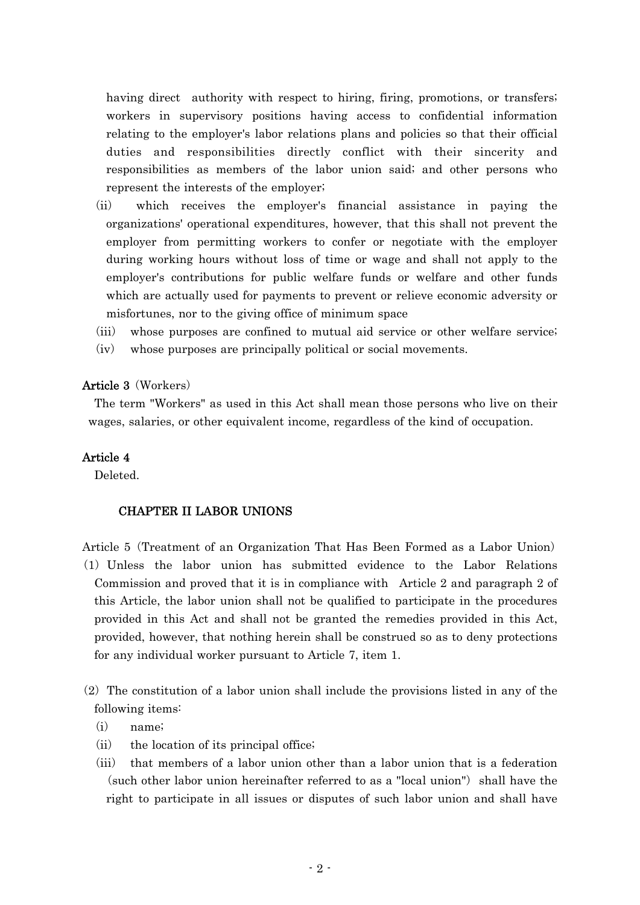having direct authority with respect to hiring, firing, promotions, or transfers; workers in supervisory positions having access to confidential information relating to the employer's labor relations plans and policies so that their official duties and responsibilities directly conflict with their sincerity and responsibilities as members of the labor union said; and other persons who represent the interests of the employer;

- (ii) which receives the employer's financial assistance in paying the organizations' operational expenditures, however, that this shall not prevent the employer from permitting workers to confer or negotiate with the employer during working hours without loss of time or wage and shall not apply to the employer's contributions for public welfare funds or welfare and other funds which are actually used for payments to prevent or relieve economic adversity or misfortunes, nor to the giving office of minimum space
- (iii) whose purposes are confined to mutual aid service or other welfare service;  $(iv)$  whose purposes are principally political or social movements.

## Article 3 (Workers)

The term "Workers" as used in this Act shall mean those persons who live on their wages, salaries, or other equivalent income, regardless of the kind of occupation.

## Article 4

Deleted.

## CHAPTER II LABOR UNIONS

- Article 5 (Treatment of an Organization That Has Been Formed as a Labor Union) ( )1 Unless the labor union has submitted evidence to the Labor Relations Commission and proved that it is in compliance with Article 2 and paragraph 2 of this Article, the labor union shall not be qualified to participate in the procedures provided in this Act and shall not be granted the remedies provided in this Act, provided, however, that nothing herein shall be construed so as to deny protections for any individual worker pursuant to Article 7, item 1.
- $(2)$  The constitution of a labor union shall include the provisions listed in any of the following items:
	- $(i)$  name;
	- $(ii)$  the location of its principal office;
	- $(iii)$  that members of a labor union other than a labor union that is a federation  $(such other labor union hereinafter referred to as a "local union" shall have the$ right to participate in all issues or disputes of such labor union and shall have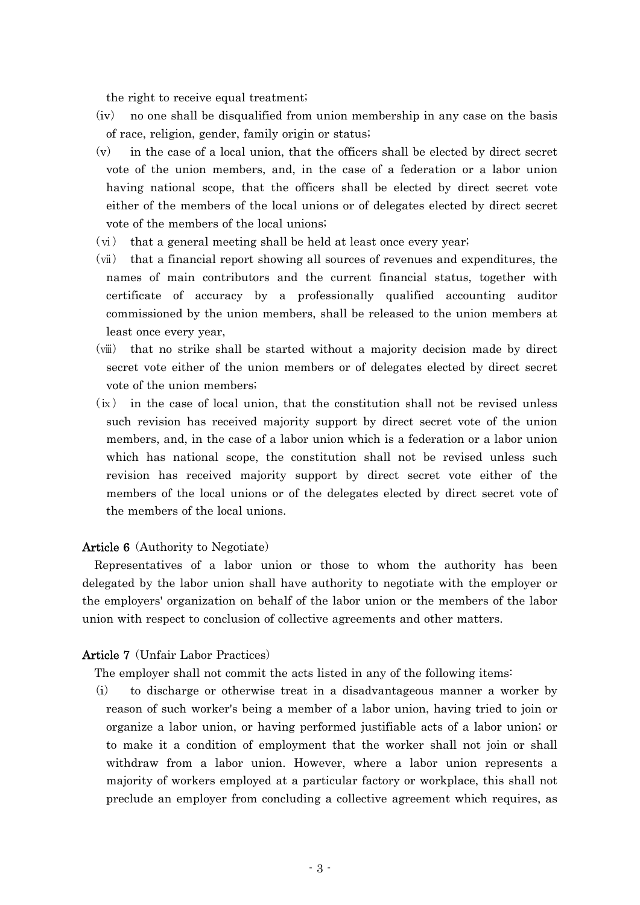the right to receive equal treatment;

- $(iv)$  no one shall be disqualified from union membership in any case on the basis of race, religion, gender, family origin or status;
- $(v)$  in the case of a local union, that the officers shall be elected by direct secret vote of the union members, and, in the case of a federation or a labor union having national scope, that the officers shall be elected by direct secret vote either of the members of the local unions or of delegates elected by direct secret vote of the members of the local unions;
- (ⅵ) that a general meeting shall be held at least once every year;
- (ⅶ) that a financial report showing all sources of revenues and expenditures, the names of main contributors and the current financial status, together with certificate of accuracy by a professionally qualified accounting auditor commissioned by the union members, shall be released to the union members at least once every year,
- (ⅷ) that no strike shall be started without a majority decision made by direct secret vote either of the union members or of delegates elected by direct secret vote of the union members;
- $(ix)$  in the case of local union, that the constitution shall not be revised unless such revision has received majority support by direct secret vote of the union members, and, in the case of a labor union which is a federation or a labor union which has national scope, the constitution shall not be revised unless such revision has received majority support by direct secret vote either of the members of the local unions or of the delegates elected by direct secret vote of the members of the local unions.

### **Article 6** (Authority to Negotiate)

Representatives of a labor union or those to whom the authority has been delegated by the labor union shall have authority to negotiate with the employer or the employers' organization on behalf of the labor union or the members of the labor union with respect to conclusion of collective agreements and other matters.

#### **Article 7** (Unfair Labor Practices)

The employer shall not commit the acts listed in any of the following items:

 $(i)$  to discharge or otherwise treat in a disadvantageous manner a worker by reason of such worker's being a member of a labor union, having tried to join or organize a labor union, or having performed justifiable acts of a labor union; or to make it a condition of employment that the worker shall not join or shall withdraw from a labor union. However, where a labor union represents a majority of workers employed at a particular factory or workplace, this shall not preclude an employer from concluding a collective agreement which requires, as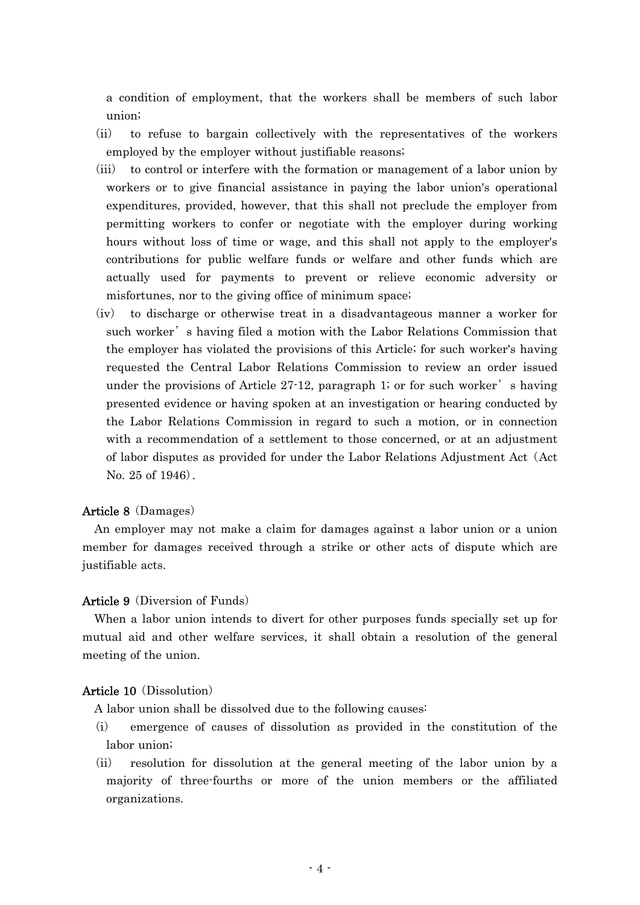a condition of employment, that the workers shall be members of such labor union;

- (ii) to refuse to bargain collectively with the representatives of the workers employed by the employer without justifiable reasons;
- (iii) to control or interfere with the formation or management of a labor union by workers or to give financial assistance in paying the labor union's operational expenditures, provided, however, that this shall not preclude the employer from permitting workers to confer or negotiate with the employer during working hours without loss of time or wage, and this shall not apply to the employer's contributions for public welfare funds or welfare and other funds which are actually used for payments to prevent or relieve economic adversity or misfortunes, nor to the giving office of minimum space;
- $(iv)$  to discharge or otherwise treat in a disadvantageous manner a worker for such worker' s having filed a motion with the Labor Relations Commission that the employer has violated the provisions of this Article; for such worker's having requested the Central Labor Relations Commission to review an order issued under the provisions of Article  $27-12$ , paragraph 1; or for such worker' s having presented evidence or having spoken at an investigation or hearing conducted by the Labor Relations Commission in regard to such a motion, or in connection with a recommendation of a settlement to those concerned, or at an adjustment of labor disputes as provided for under the Labor Relations Adjustment Act (Act No.  $25$  of  $1946$ .

## Article 8 (Damages)

An employer may not make a claim for damages against a labor union or a union member for damages received through a strike or other acts of dispute which are justifiable acts.

## Article 9 (Diversion of Funds)

When a labor union intends to divert for other purposes funds specially set up for mutual aid and other welfare services, it shall obtain a resolution of the general meeting of the union.

#### Article 10 (Dissolution)

- A labor union shall be dissolved due to the following causes:
- (i) emergence of causes of dissolution as provided in the constitution of the labor union;
- (ii) resolution for dissolution at the general meeting of the labor union by a majority of three-fourths or more of the union members or the affiliated organizations.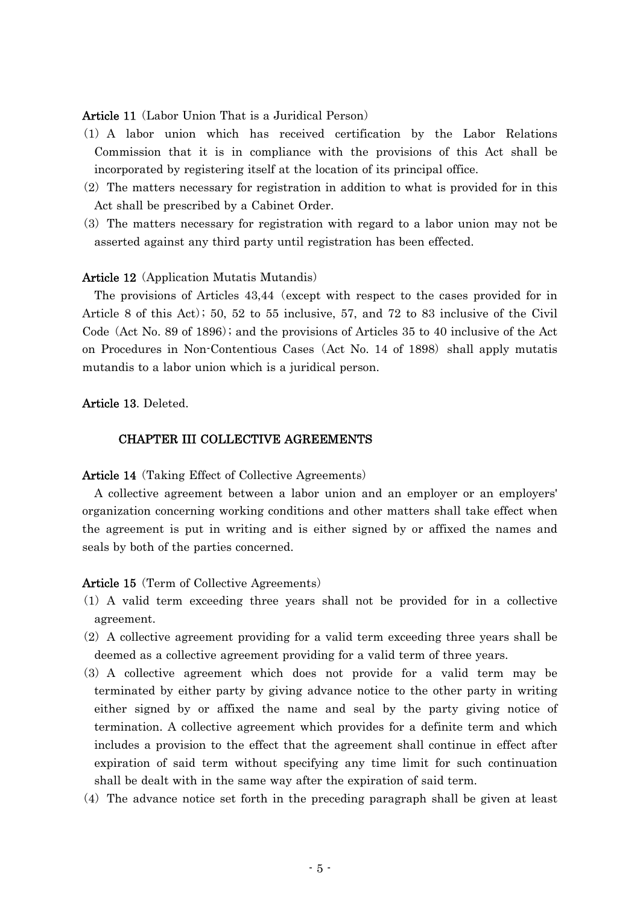### Article 11 (Labor Union That is a Juridical Person)

- ( )1 A labor union which has received certification by the Labor Relations Commission that it is in compliance with the provisions of this Act shall be incorporated by registering itself at the location of its principal office.
- $(2)$  The matters necessary for registration in addition to what is provided for in this Act shall be prescribed by a Cabinet Order.
- (3) The matters necessary for registration with regard to a labor union may not be asserted against any third party until registration has been effected.

#### Article 12 (Application Mutatis Mutandis)

The provisions of Articles  $43,44$  (except with respect to the cases provided for in Article 8 of this Act); 50, 52 to 55 inclusive, 57, and 72 to 83 inclusive of the Civil Code (Act No. 89 of 1896); and the provisions of Articles  $35$  to 40 inclusive of the Act on Procedures in Non-Contentious Cases (Act No. 14 of 1898) shall apply mutatis mutandis to a labor union which is a juridical person.

#### Article 13. Deleted.

#### CHAPTER III COLLECTIVE AGREEMENTS

Article 14 (Taking Effect of Collective Agreements)

A collective agreement between a labor union and an employer or an employers' organization concerning working conditions and other matters shall take effect when the agreement is put in writing and is either signed by or affixed the names and seals by both of the parties concerned.

Article 15 (Term of Collective Agreements)

- ( )1 A valid term exceeding three years shall not be provided for in a collective agreement.
- $(2)$  A collective agreement providing for a valid term exceeding three years shall be deemed as a collective agreement providing for a valid term of three years.
- (3) A collective agreement which does not provide for a valid term may be terminated by either party by giving advance notice to the other party in writing either signed by or affixed the name and seal by the party giving notice of termination. A collective agreement which provides for a definite term and which includes a provision to the effect that the agreement shall continue in effect after expiration of said term without specifying any time limit for such continuation shall be dealt with in the same way after the expiration of said term.
- $(4)$  The advance notice set forth in the preceding paragraph shall be given at least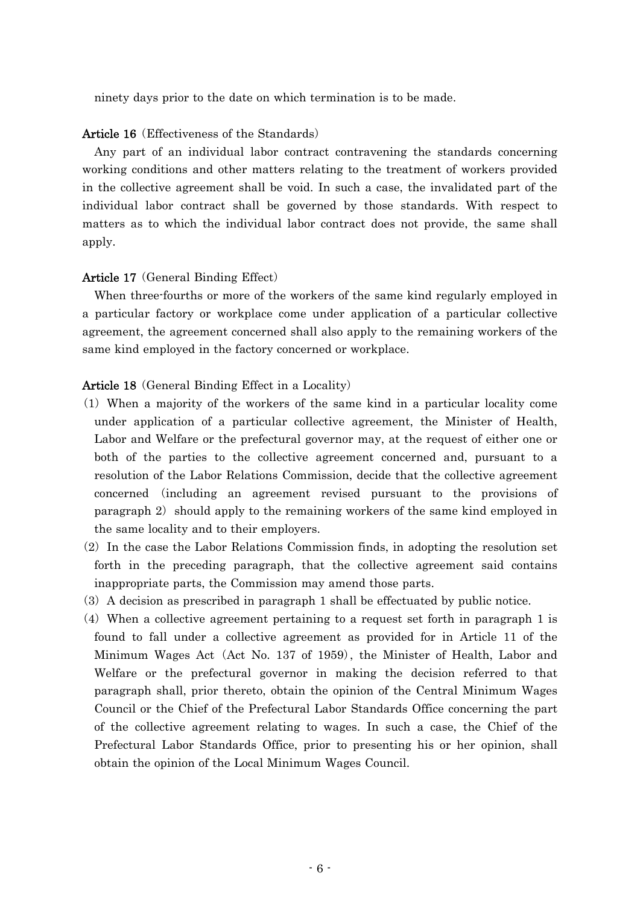ninety days prior to the date on which termination is to be made.

#### Article 16 (Effectiveness of the Standards)

Any part of an individual labor contract contravening the standards concerning working conditions and other matters relating to the treatment of workers provided in the collective agreement shall be void. In such a case, the invalidated part of the individual labor contract shall be governed by those standards. With respect to matters as to which the individual labor contract does not provide, the same shall apply.

#### Article 17 (General Binding Effect)

When three-fourths or more of the workers of the same kind regularly employed in a particular factory or workplace come under application of a particular collective agreement, the agreement concerned shall also apply to the remaining workers of the same kind employed in the factory concerned or workplace.

#### Article 18 (General Binding Effect in a Locality)

- ( )1 When a majority of the workers of the same kind in a particular locality come under application of a particular collective agreement, the Minister of Health, Labor and Welfare or the prefectural governor may, at the request of either one or both of the parties to the collective agreement concerned and, pursuant to a resolution of the Labor Relations Commission, decide that the collective agreement concerned including an agreement revised pursuant to the provisions of ( paragraph 2) should apply to the remaining workers of the same kind employed in the same locality and to their employers.
- $(2)$  In the case the Labor Relations Commission finds, in adopting the resolution set forth in the preceding paragraph, that the collective agreement said contains inappropriate parts, the Commission may amend those parts.
- ( )3 A decision as prescribed in paragraph 1 shall be effectuated by public notice.
- $(4)$  When a collective agreement pertaining to a request set forth in paragraph 1 is found to fall under a collective agreement as provided for in Article 11 of the Minimum Wages Act (Act No. 137 of 1959), the Minister of Health, Labor and Welfare or the prefectural governor in making the decision referred to that paragraph shall, prior thereto, obtain the opinion of the Central Minimum Wages Council or the Chief of the Prefectural Labor Standards Office concerning the part of the collective agreement relating to wages. In such a case, the Chief of the Prefectural Labor Standards Office, prior to presenting his or her opinion, shall obtain the opinion of the Local Minimum Wages Council.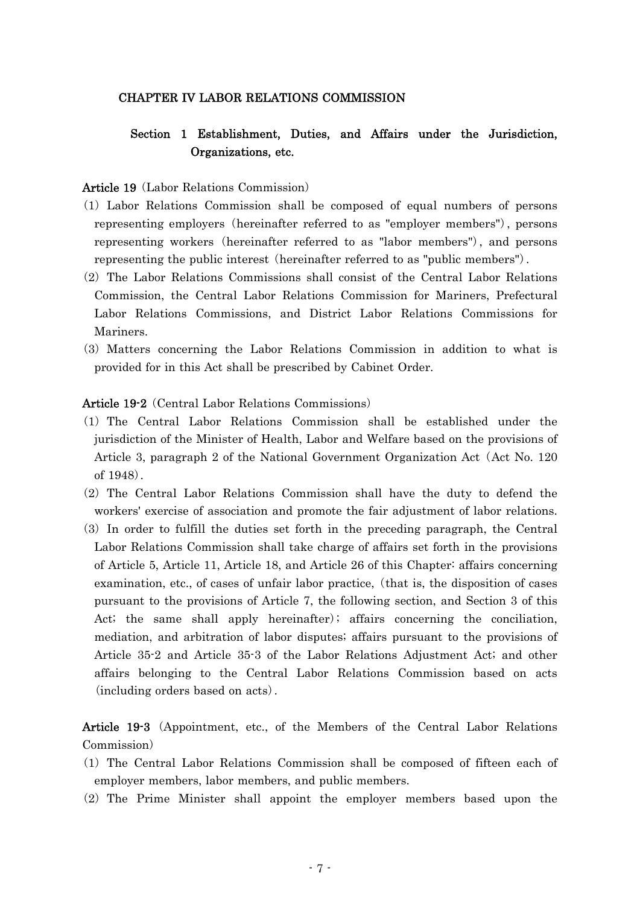### CHAPTER IV LABOR RELATIONS COMMISSION

## Section 1 Establishment, Duties, and Affairs under the Jurisdiction, Organizations, etc.

#### Article 19 (Labor Relations Commission)

- ( )1 Labor Relations Commission shall be composed of equal numbers of persons representing employers (hereinafter referred to as "employer members"), persons representing workers (hereinafter referred to as "labor members"), and persons representing the public interest (hereinafter referred to as "public members").
- $(2)$  The Labor Relations Commissions shall consist of the Central Labor Relations Commission, the Central Labor Relations Commission for Mariners, Prefectural Labor Relations Commissions, and District Labor Relations Commissions for Mariners.
- ( )3 Matters concerning the Labor Relations Commission in addition to what is provided for in this Act shall be prescribed by Cabinet Order.

#### Article 19-2 (Central Labor Relations Commissions)

- ( )1 The Central Labor Relations Commission shall be established under the jurisdiction of the Minister of Health, Labor and Welfare based on the provisions of Article 3, paragraph 2 of the National Government Organization Act (Act No. 120) of  $1948$ .
- $(2)$  The Central Labor Relations Commission shall have the duty to defend the workers' exercise of association and promote the fair adjustment of labor relations.
- ( )3 In order to fulfill the duties set forth in the preceding paragraph, the Central Labor Relations Commission shall take charge of affairs set forth in the provisions of Article 5, Article 11, Article 18, and Article 26 of this Chapter: affairs concerning examination, etc., of cases of unfair labor practice, (that is, the disposition of cases pursuant to the provisions of Article 7, the following section, and Section 3 of this Act; the same shall apply hereinafter); affairs concerning the conciliation, mediation, and arbitration of labor disputes; affairs pursuant to the provisions of Article 35-2 and Article 35-3 of the Labor Relations Adjustment Act; and other affairs belonging to the Central Labor Relations Commission based on acts (including orders based on acts).

Article 19-3 (Appointment, etc., of the Members of the Central Labor Relations Commission)

- ( )1 The Central Labor Relations Commission shall be composed of fifteen each of employer members, labor members, and public members.
- (2) The Prime Minister shall appoint the employer members based upon the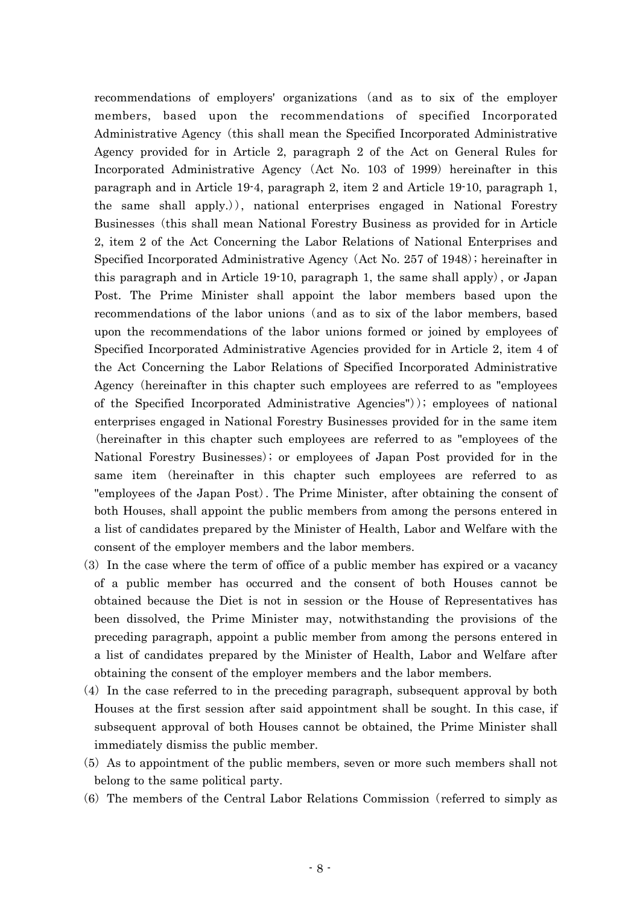recommendations of employers' organizations (and as to six of the employer members, based upon the recommendations of specified Incorporated Administrative Agency (this shall mean the Specified Incorporated Administrative Agency provided for in Article 2, paragraph 2 of the Act on General Rules for Incorporated Administrative Agency (Act No. 103 of 1999) hereinafter in this paragraph and in Article 19-4, paragraph 2, item 2 and Article 19-10, paragraph 1, the same shall apply.)), national enterprises engaged in National Forestry Businesses (this shall mean National Forestry Business as provided for in Article 2, item 2 of the Act Concerning the Labor Relations of National Enterprises and Specified Incorporated Administrative Agency (Act No.  $257$  of  $1948$ ); hereinafter in this paragraph and in Article 19-10, paragraph 1, the same shall apply), or Japan Post. The Prime Minister shall appoint the labor members based upon the recommendations of the labor unions (and as to six of the labor members, based upon the recommendations of the labor unions formed or joined by employees of Specified Incorporated Administrative Agencies provided for in Article 2, item 4 of the Act Concerning the Labor Relations of Specified Incorporated Administrative Agency (hereinafter in this chapter such employees are referred to as "employees") of the Specified Incorporated Administrative Agencies"); employees of national enterprises engaged in National Forestry Businesses provided for in the same item (hereinafter in this chapter such employees are referred to as "employees of the National Forestry Businesses); or employees of Japan Post provided for in the same item (hereinafter in this chapter such employees are referred to as "employees of the Japan Post). The Prime Minister, after obtaining the consent of both Houses, shall appoint the public members from among the persons entered in a list of candidates prepared by the Minister of Health, Labor and Welfare with the consent of the employer members and the labor members.

- ( )3 In the case where the term of office of a public member has expired or a vacancy of a public member has occurred and the consent of both Houses cannot be obtained because the Diet is not in session or the House of Representatives has been dissolved, the Prime Minister may, notwithstanding the provisions of the preceding paragraph, appoint a public member from among the persons entered in a list of candidates prepared by the Minister of Health, Labor and Welfare after obtaining the consent of the employer members and the labor members.
- (4) In the case referred to in the preceding paragraph, subsequent approval by both Houses at the first session after said appointment shall be sought. In this case, if subsequent approval of both Houses cannot be obtained, the Prime Minister shall immediately dismiss the public member.
- (5) As to appointment of the public members, seven or more such members shall not belong to the same political party.
- $(6)$  The members of the Central Labor Relations Commission (referred to simply as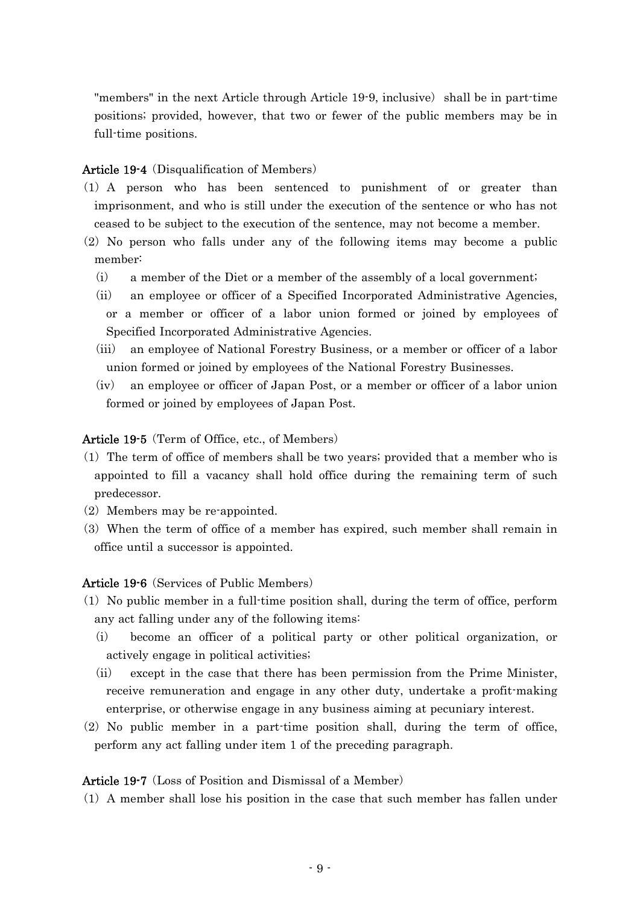"members" in the next Article through Article  $19-9$ , inclusive) shall be in part-time positions; provided, however, that two or fewer of the public members may be in full-time positions.

### Article 19-4 (Disqualification of Members)

- (1) A person who has been sentenced to punishment of or greater than imprisonment, and who is still under the execution of the sentence or who has not ceased to be subject to the execution of the sentence, may not become a member.
- $(2)$  No person who falls under any of the following items may become a public member:
	- $(i)$  a member of the Diet or a member of the assembly of a local government;
	- (ii) an employee or officer of a Specified Incorporated Administrative Agencies, or a member or officer of a labor union formed or joined by employees of Specified Incorporated Administrative Agencies.
	- (iii) an employee of National Forestry Business, or a member or officer of a labor union formed or joined by employees of the National Forestry Businesses.
	- $(iv)$  an employee or officer of Japan Post, or a member or officer of a labor union formed or joined by employees of Japan Post.

Article 19-5 (Term of Office, etc., of Members)

- $(1)$  The term of office of members shall be two years; provided that a member who is appointed to fill a vacancy shall hold office during the remaining term of such predecessor.
- $(2)$  Members may be re-appointed.
- (3) When the term of office of a member has expired, such member shall remain in office until a successor is appointed.

Article 19-6 (Services of Public Members)

- $(1)$  No public member in a full-time position shall, during the term of office, perform any act falling under any of the following items:
	- (i) become an officer of a political party or other political organization, or actively engage in political activities;
	- (ii) except in the case that there has been permission from the Prime Minister, receive remuneration and engage in any other duty, undertake a profit-making enterprise, or otherwise engage in any business aiming at pecuniary interest.
- $(2)$  No public member in a part-time position shall, during the term of office, perform any act falling under item 1 of the preceding paragraph.

### Article 19-7 (Loss of Position and Dismissal of a Member)

( )1 A member shall lose his position in the case that such member has fallen under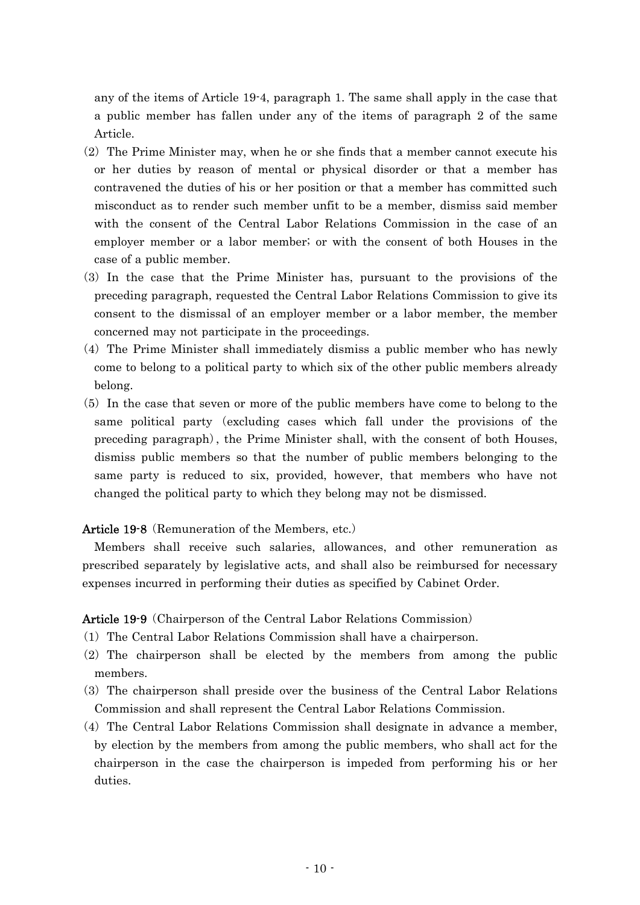any of the items of Article 19-4, paragraph 1. The same shall apply in the case that a public member has fallen under any of the items of paragraph 2 of the same Article.

- $(2)$  The Prime Minister may, when he or she finds that a member cannot execute his or her duties by reason of mental or physical disorder or that a member has contravened the duties of his or her position or that a member has committed such misconduct as to render such member unfit to be a member, dismiss said member with the consent of the Central Labor Relations Commission in the case of an employer member or a labor member; or with the consent of both Houses in the case of a public member.
- ( )3 In the case that the Prime Minister has, pursuant to the provisions of the preceding paragraph, requested the Central Labor Relations Commission to give its consent to the dismissal of an employer member or a labor member, the member concerned may not participate in the proceedings.
- $(4)$  The Prime Minister shall immediately dismiss a public member who has newly come to belong to a political party to which six of the other public members already belong.
- $(5)$  In the case that seven or more of the public members have come to belong to the same political party (excluding cases which fall under the provisions of the preceding paragraph), the Prime Minister shall, with the consent of both Houses, dismiss public members so that the number of public members belonging to the same party is reduced to six, provided, however, that members who have not changed the political party to which they belong may not be dismissed.

Article 19-8 (Remuneration of the Members, etc.)

Members shall receive such salaries, allowances, and other remuneration as prescribed separately by legislative acts, and shall also be reimbursed for necessary expenses incurred in performing their duties as specified by Cabinet Order.

Article 19-9 (Chairperson of the Central Labor Relations Commission)

- ( )1 The Central Labor Relations Commission shall have a chairperson.
- $(2)$  The chairperson shall be elected by the members from among the public members.
- ( )3 The chairperson shall preside over the business of the Central Labor Relations Commission and shall represent the Central Labor Relations Commission.
- $(4)$  The Central Labor Relations Commission shall designate in advance a member, by election by the members from among the public members, who shall act for the chairperson in the case the chairperson is impeded from performing his or her duties.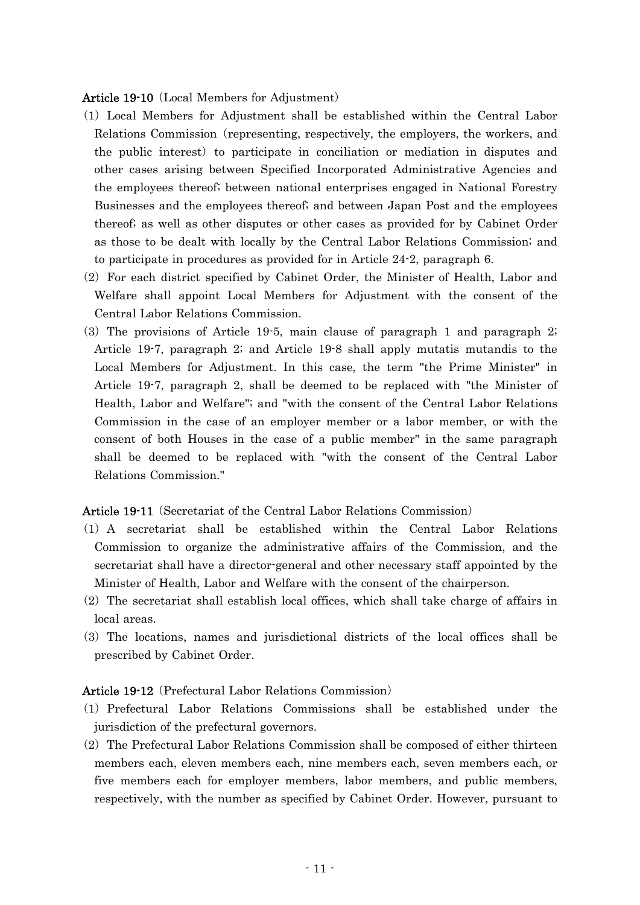#### Article 19-10 (Local Members for Adjustment)

- ( )1 Local Members for Adjustment shall be established within the Central Labor Relations Commission (representing, respectively, the employers, the workers, and the public interest) to participate in conciliation or mediation in disputes and other cases arising between Specified Incorporated Administrative Agencies and the employees thereof; between national enterprises engaged in National Forestry Businesses and the employees thereof; and between Japan Post and the employees thereof; as well as other disputes or other cases as provided for by Cabinet Order as those to be dealt with locally by the Central Labor Relations Commission; and to participate in procedures as provided for in Article 24-2, paragraph 6.
- $(2)$  For each district specified by Cabinet Order, the Minister of Health, Labor and Welfare shall appoint Local Members for Adjustment with the consent of the Central Labor Relations Commission.
- $(3)$  The provisions of Article 19-5, main clause of paragraph 1 and paragraph 2; Article 19-7, paragraph 2; and Article 19-8 shall apply mutatis mutandis to the Local Members for Adjustment. In this case, the term "the Prime Minister" in Article 19-7, paragraph 2, shall be deemed to be replaced with "the Minister of Health, Labor and Welfare"; and "with the consent of the Central Labor Relations Commission in the case of an employer member or a labor member, or with the consent of both Houses in the case of a public member" in the same paragraph shall be deemed to be replaced with "with the consent of the Central Labor Relations Commission."

### Article 19-11 (Secretariat of the Central Labor Relations Commission)

- ( )1 A secretariat shall be established within the Central Labor Relations Commission to organize the administrative affairs of the Commission, and the secretariat shall have a director-general and other necessary staff appointed by the Minister of Health, Labor and Welfare with the consent of the chairperson.
- $(2)$  The secretariat shall establish local offices, which shall take charge of affairs in local areas.
- ( )3 The locations, names and jurisdictional districts of the local offices shall be prescribed by Cabinet Order.

### Article 19-12 (Prefectural Labor Relations Commission)

- ( )1 Prefectural Labor Relations Commissions shall be established under the jurisdiction of the prefectural governors.
- $(2)$  The Prefectural Labor Relations Commission shall be composed of either thirteen members each, eleven members each, nine members each, seven members each, or five members each for employer members, labor members, and public members, respectively, with the number as specified by Cabinet Order. However, pursuant to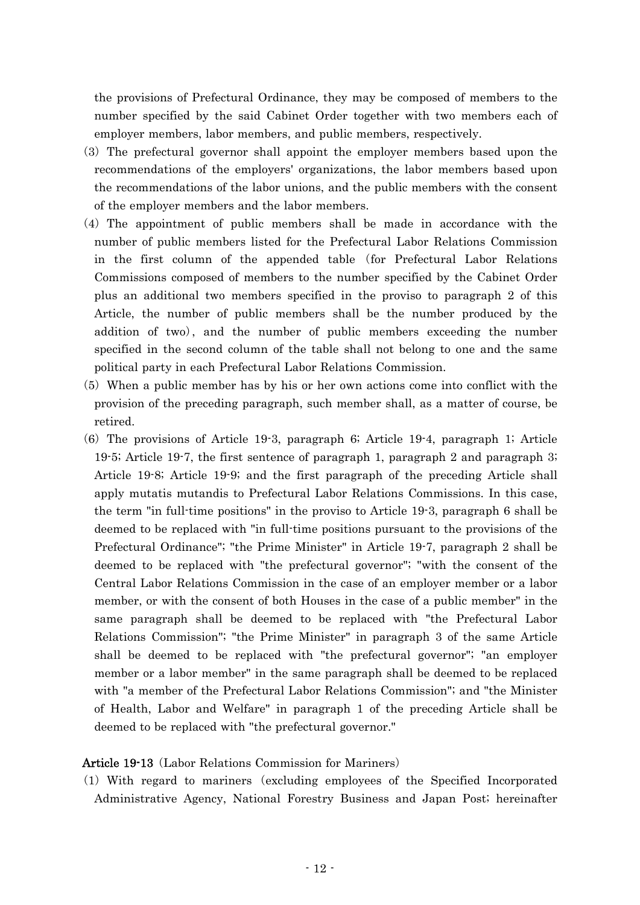the provisions of Prefectural Ordinance, they may be composed of members to the number specified by the said Cabinet Order together with two members each of employer members, labor members, and public members, respectively.

- (3) The prefectural governor shall appoint the employer members based upon the recommendations of the employers' organizations, the labor members based upon the recommendations of the labor unions, and the public members with the consent of the employer members and the labor members.
- (4) The appointment of public members shall be made in accordance with the number of public members listed for the Prefectural Labor Relations Commission in the first column of the appended table (for Prefectural Labor Relations Commissions composed of members to the number specified by the Cabinet Order plus an additional two members specified in the proviso to paragraph 2 of this Article, the number of public members shall be the number produced by the addition of two), and the number of public members exceeding the number specified in the second column of the table shall not belong to one and the same political party in each Prefectural Labor Relations Commission.
- (5) When a public member has by his or her own actions come into conflict with the provision of the preceding paragraph, such member shall, as a matter of course, be retired.
- $(6)$  The provisions of Article 19-3, paragraph 6; Article 19-4, paragraph 1; Article 19-5; Article 19-7, the first sentence of paragraph 1, paragraph 2 and paragraph 3; Article 19-8; Article 19-9; and the first paragraph of the preceding Article shall apply mutatis mutandis to Prefectural Labor Relations Commissions. In this case, the term "in full-time positions" in the proviso to Article 19-3, paragraph 6 shall be deemed to be replaced with "in full-time positions pursuant to the provisions of the Prefectural Ordinance"; "the Prime Minister" in Article 19-7, paragraph 2 shall be deemed to be replaced with "the prefectural governor"; "with the consent of the Central Labor Relations Commission in the case of an employer member or a labor member, or with the consent of both Houses in the case of a public member" in the same paragraph shall be deemed to be replaced with "the Prefectural Labor Relations Commission"; "the Prime Minister" in paragraph 3 of the same Article shall be deemed to be replaced with "the prefectural governor"; "an employer member or a labor member" in the same paragraph shall be deemed to be replaced with "a member of the Prefectural Labor Relations Commission"; and "the Minister of Health, Labor and Welfare" in paragraph 1 of the preceding Article shall be deemed to be replaced with "the prefectural governor."

### Article 19-13 (Labor Relations Commission for Mariners)

(1) With regard to mariners (excluding employees of the Specified Incorporated Administrative Agency, National Forestry Business and Japan Post; hereinafter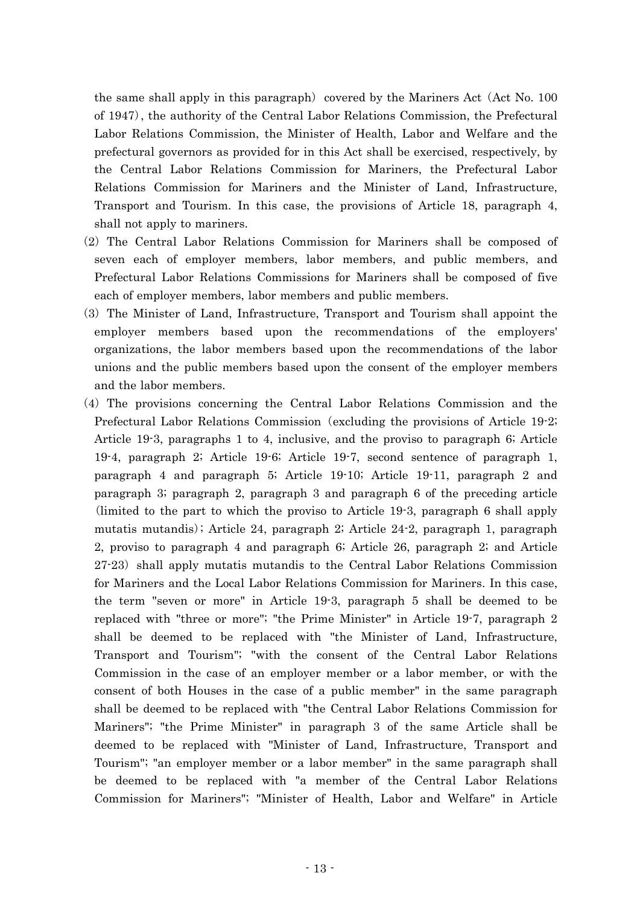the same shall apply in this paragraph) covered by the Mariners Act  $(Act No. 100$ of 1947 , the authority of the Central Labor Relations Commission, the Prefectural ) Labor Relations Commission, the Minister of Health, Labor and Welfare and the prefectural governors as provided for in this Act shall be exercised, respectively, by the Central Labor Relations Commission for Mariners, the Prefectural Labor Relations Commission for Mariners and the Minister of Land, Infrastructure, Transport and Tourism. In this case, the provisions of Article 18, paragraph 4, shall not apply to mariners.

- $(2)$  The Central Labor Relations Commission for Mariners shall be composed of seven each of employer members, labor members, and public members, and Prefectural Labor Relations Commissions for Mariners shall be composed of five each of employer members, labor members and public members.
- ( )3 The Minister of Land, Infrastructure, Transport and Tourism shall appoint the employer members based upon the recommendations of the employers' organizations, the labor members based upon the recommendations of the labor unions and the public members based upon the consent of the employer members and the labor members.
- $(4)$  The provisions concerning the Central Labor Relations Commission and the Prefectural Labor Relations Commission (excluding the provisions of Article 19-2; Article 19-3, paragraphs 1 to 4, inclusive, and the proviso to paragraph 6; Article 19-4, paragraph 2; Article 19-6; Article 19-7, second sentence of paragraph 1, paragraph 4 and paragraph 5; Article 19-10; Article 19-11, paragraph 2 and paragraph 3; paragraph 2, paragraph 3 and paragraph 6 of the preceding article (limited to the part to which the proviso to Article 19-3, paragraph 6 shall apply mutatis mutandis); Article 24, paragraph 2; Article 24-2, paragraph 1, paragraph 2, proviso to paragraph 4 and paragraph 6; Article 26, paragraph 2; and Article  $27-23$ ) shall apply mutatis mutandis to the Central Labor Relations Commission for Mariners and the Local Labor Relations Commission for Mariners. In this case, the term "seven or more" in Article 19-3, paragraph 5 shall be deemed to be replaced with "three or more"; "the Prime Minister" in Article 19-7, paragraph 2 shall be deemed to be replaced with "the Minister of Land, Infrastructure, Transport and Tourism"; "with the consent of the Central Labor Relations Commission in the case of an employer member or a labor member, or with the consent of both Houses in the case of a public member" in the same paragraph shall be deemed to be replaced with "the Central Labor Relations Commission for Mariners"; "the Prime Minister" in paragraph 3 of the same Article shall be deemed to be replaced with "Minister of Land, Infrastructure, Transport and Tourism"; "an employer member or a labor member" in the same paragraph shall be deemed to be replaced with "a member of the Central Labor Relations Commission for Mariners"; "Minister of Health, Labor and Welfare" in Article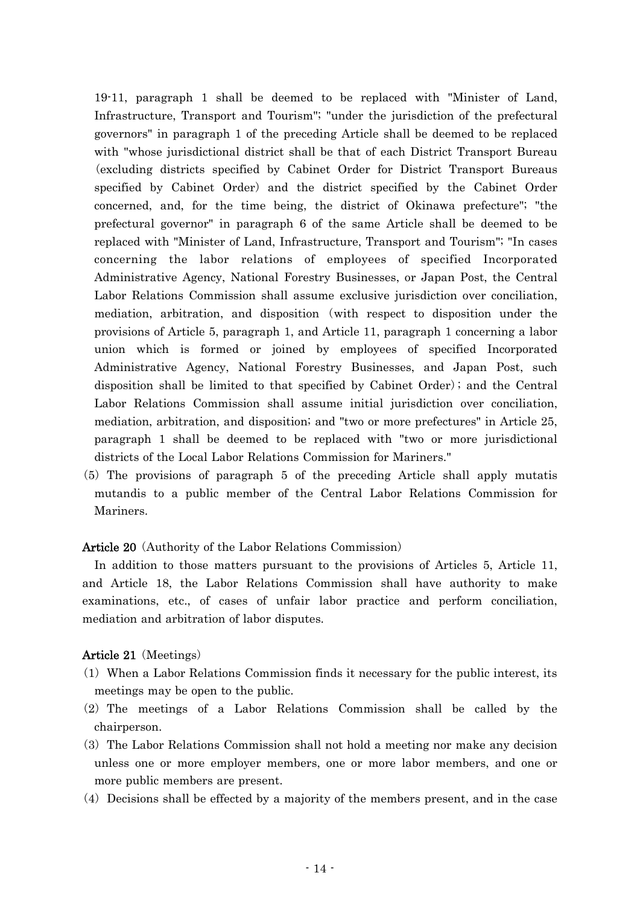19-11, paragraph 1 shall be deemed to be replaced with "Minister of Land, Infrastructure, Transport and Tourism"; "under the jurisdiction of the prefectural governors" in paragraph 1 of the preceding Article shall be deemed to be replaced with "whose jurisdictional district shall be that of each District Transport Bureau (excluding districts specified by Cabinet Order for District Transport Bureaus specified by Cabinet Order) and the district specified by the Cabinet Order concerned, and, for the time being, the district of Okinawa prefecture"; "the prefectural governor" in paragraph 6 of the same Article shall be deemed to be replaced with "Minister of Land, Infrastructure, Transport and Tourism"; "In cases concerning the labor relations of employees of specified Incorporated Administrative Agency, National Forestry Businesses, or Japan Post, the Central Labor Relations Commission shall assume exclusive jurisdiction over conciliation, mediation, arbitration, and disposition (with respect to disposition under the provisions of Article 5, paragraph 1, and Article 11, paragraph 1 concerning a labor union which is formed or joined by employees of specified Incorporated Administrative Agency, National Forestry Businesses, and Japan Post, such disposition shall be limited to that specified by Cabinet Order); and the Central Labor Relations Commission shall assume initial jurisdiction over conciliation, mediation, arbitration, and disposition; and "two or more prefectures" in Article 25, paragraph 1 shall be deemed to be replaced with "two or more jurisdictional districts of the Local Labor Relations Commission for Mariners."

( )5 The provisions of paragraph 5 of the preceding Article shall apply mutatis mutandis to a public member of the Central Labor Relations Commission for Mariners.

### Article 20 (Authority of the Labor Relations Commission)

In addition to those matters pursuant to the provisions of Articles 5, Article 11, and Article 18, the Labor Relations Commission shall have authority to make examinations, etc., of cases of unfair labor practice and perform conciliation, mediation and arbitration of labor disputes.

### Article 21 (Meetings)

- $(1)$  When a Labor Relations Commission finds it necessary for the public interest, its meetings may be open to the public.
- (2) The meetings of a Labor Relations Commission shall be called by the chairperson.
- ( )3 The Labor Relations Commission shall not hold a meeting nor make any decision unless one or more employer members, one or more labor members, and one or more public members are present.
- $(4)$  Decisions shall be effected by a majority of the members present, and in the case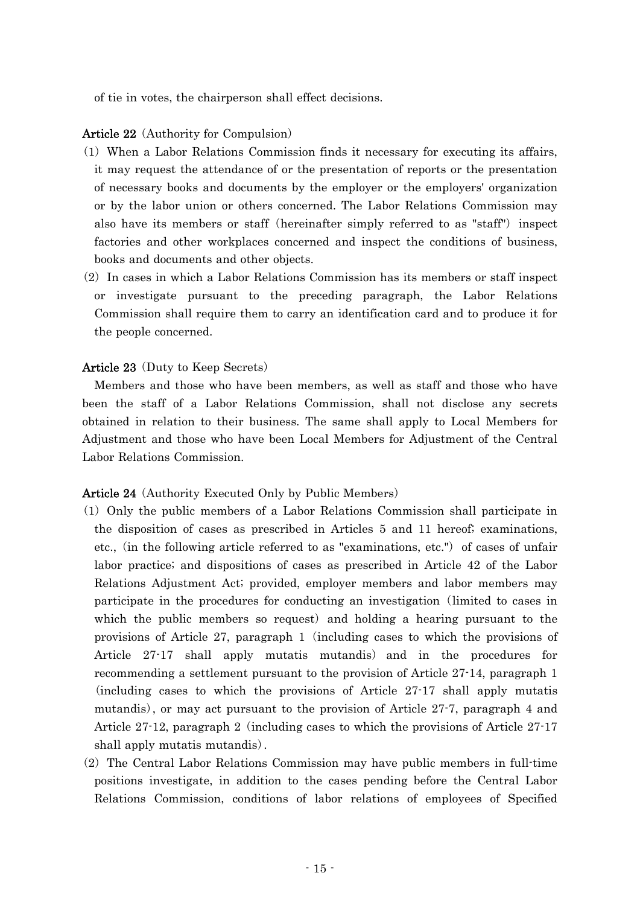of tie in votes, the chairperson shall effect decisions.

### Article 22 (Authority for Compulsion)

- ( )1 When a Labor Relations Commission finds it necessary for executing its affairs, it may request the attendance of or the presentation of reports or the presentation of necessary books and documents by the employer or the employers' organization or by the labor union or others concerned. The Labor Relations Commission may also have its members or staff (hereinafter simply referred to as "staff") inspect factories and other workplaces concerned and inspect the conditions of business, books and documents and other objects.
- $(2)$  In cases in which a Labor Relations Commission has its members or staff inspect or investigate pursuant to the preceding paragraph, the Labor Relations Commission shall require them to carry an identification card and to produce it for the people concerned.

### **Article 23** (Duty to Keep Secrets)

Members and those who have been members, as well as staff and those who have been the staff of a Labor Relations Commission, shall not disclose any secrets obtained in relation to their business. The same shall apply to Local Members for Adjustment and those who have been Local Members for Adjustment of the Central Labor Relations Commission.

### **Article 24** (Authority Executed Only by Public Members)

- ( )1 Only the public members of a Labor Relations Commission shall participate in the disposition of cases as prescribed in Articles 5 and 11 hereof; examinations, etc., (in the following article referred to as "examinations,  $etc."$ ) of cases of unfair labor practice; and dispositions of cases as prescribed in Article 42 of the Labor Relations Adjustment Act; provided, employer members and labor members may participate in the procedures for conducting an investigation (limited to cases in which the public members so request) and holding a hearing pursuant to the provisions of Article 27, paragraph 1 (including cases to which the provisions of Article 27-17 shall apply mutatis mutandis) and in the procedures for recommending a settlement pursuant to the provision of Article 27-14, paragraph 1 (including cases to which the provisions of Article 27-17 shall apply mutatis mutandis), or may act pursuant to the provision of Article 27.7, paragraph 4 and Article  $27-12$ , paragraph 2 (including cases to which the provisions of Article  $27-17$ shall apply mutatis mutandis).
- $(2)$  The Central Labor Relations Commission may have public members in full-time positions investigate, in addition to the cases pending before the Central Labor Relations Commission, conditions of labor relations of employees of Specified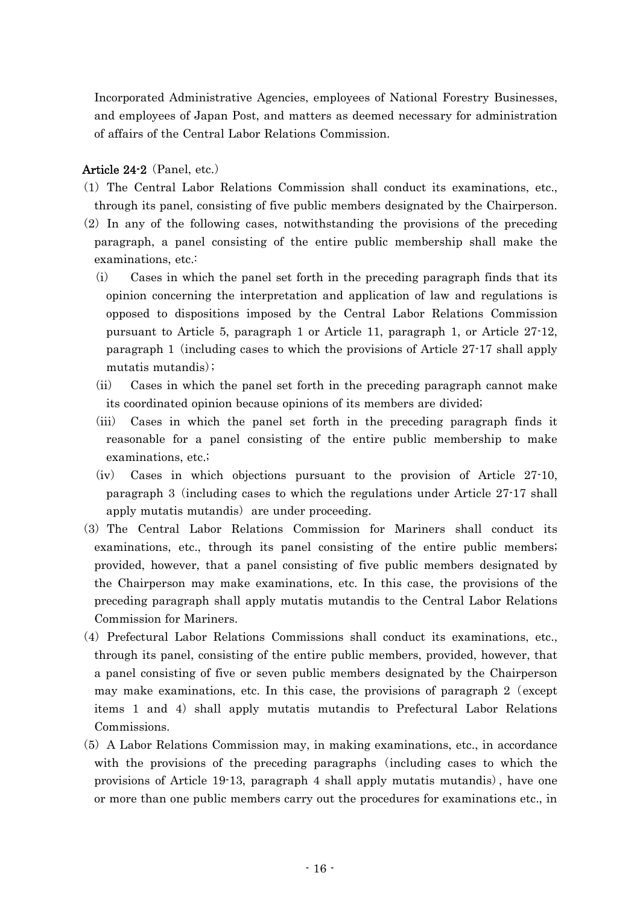Incorporated Administrative Agencies, employees of National Forestry Businesses, and employees of Japan Post, and matters as deemed necessary for administration of affairs of the Central Labor Relations Commission.

## Article  $24-2$  (Panel, etc.)

- ( )1 The Central Labor Relations Commission shall conduct its examinations, etc., through its panel, consisting of five public members designated by the Chairperson.
- $(2)$  In any of the following cases, notwithstanding the provisions of the preceding paragraph, a panel consisting of the entire public membership shall make the examinations, etc.:
	- $(i)$  Cases in which the panel set forth in the preceding paragraph finds that its opinion concerning the interpretation and application of law and regulations is opposed to dispositions imposed by the Central Labor Relations Commission pursuant to Article 5, paragraph 1 or Article 11, paragraph 1, or Article 27-12, paragraph 1 (including cases to which the provisions of Article  $27-17$  shall apply mutatis mutandis);
	- (ii) Cases in which the panel set forth in the preceding paragraph cannot make its coordinated opinion because opinions of its members are divided;
	- (iii) Cases in which the panel set forth in the preceding paragraph finds it reasonable for a panel consisting of the entire public membership to make examinations, etc.;
	- $(iv)$  Cases in which objections pursuant to the provision of Article 27-10, paragraph 3 (including cases to which the regulations under Article  $27-17$  shall apply mutatis mutandis) are under proceeding.
- (3) The Central Labor Relations Commission for Mariners shall conduct its examinations, etc., through its panel consisting of the entire public members; provided, however, that a panel consisting of five public members designated by the Chairperson may make examinations, etc. In this case, the provisions of the preceding paragraph shall apply mutatis mutandis to the Central Labor Relations Commission for Mariners.
- (4) Prefectural Labor Relations Commissions shall conduct its examinations, etc., through its panel, consisting of the entire public members, provided, however, that a panel consisting of five or seven public members designated by the Chairperson may make examinations, etc. In this case, the provisions of paragraph  $2$  (except items 1 and 4) shall apply mutatis mutandis to Prefectural Labor Relations Commissions.
- $(5)$  A Labor Relations Commission may, in making examinations, etc., in accordance with the provisions of the preceding paragraphs (including cases to which the provisions of Article 19-13, paragraph 4 shall apply mutatis mutandis), have one or more than one public members carry out the procedures for examinations etc., in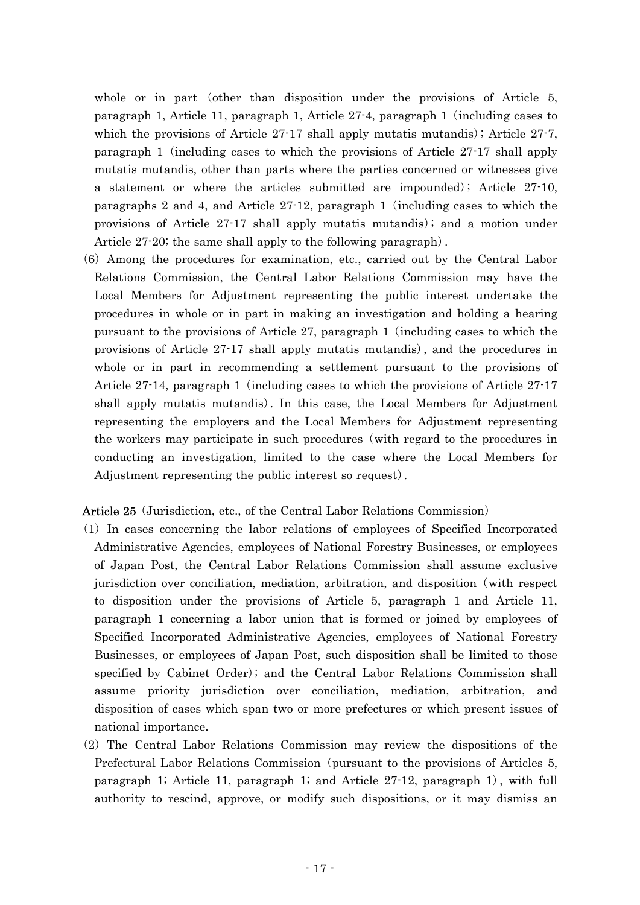whole or in part (other than disposition under the provisions of Article  $5$ , paragraph 1, Article 11, paragraph 1, Article  $27-4$ , paragraph 1 (including cases to which the provisions of Article  $27-17$  shall apply mutatis mutandis); Article  $27-7$ , paragraph 1 (including cases to which the provisions of Article  $27-17$  shall apply mutatis mutandis, other than parts where the parties concerned or witnesses give a statement or where the articles submitted are impounded); Article  $27-10$ , paragraphs 2 and 4, and Article  $27-12$ , paragraph 1 (including cases to which the provisions of Article  $27-17$  shall apply mutatis mutandis); and a motion under Article  $27-20$ ; the same shall apply to the following paragraph.

(6) Among the procedures for examination, etc., carried out by the Central Labor Relations Commission, the Central Labor Relations Commission may have the Local Members for Adjustment representing the public interest undertake the procedures in whole or in part in making an investigation and holding a hearing pursuant to the provisions of Article 27, paragraph 1 (including cases to which the provisions of Article  $27-17$  shall apply mutatis mutandis), and the procedures in whole or in part in recommending a settlement pursuant to the provisions of Article  $27-14$ , paragraph 1 (including cases to which the provisions of Article  $27-17$ shall apply mutatis mutandis). In this case, the Local Members for Adjustment representing the employers and the Local Members for Adjustment representing the workers may participate in such procedures (with regard to the procedures in conducting an investigation, limited to the case where the Local Members for Adjustment representing the public interest so request).

Article 25 (Jurisdiction, etc., of the Central Labor Relations Commission)

- ( )1 In cases concerning the labor relations of employees of Specified Incorporated Administrative Agencies, employees of National Forestry Businesses, or employees of Japan Post, the Central Labor Relations Commission shall assume exclusive jurisdiction over conciliation, mediation, arbitration, and disposition (with respect to disposition under the provisions of Article 5, paragraph 1 and Article 11, paragraph 1 concerning a labor union that is formed or joined by employees of Specified Incorporated Administrative Agencies, employees of National Forestry Businesses, or employees of Japan Post, such disposition shall be limited to those specified by Cabinet Order); and the Central Labor Relations Commission shall assume priority jurisdiction over conciliation, mediation, arbitration, and disposition of cases which span two or more prefectures or which present issues of national importance.
- (2) The Central Labor Relations Commission may review the dispositions of the Prefectural Labor Relations Commission (pursuant to the provisions of Articles 5, paragraph 1; Article 11, paragraph 1; and Article  $27-12$ , paragraph 1), with full authority to rescind, approve, or modify such dispositions, or it may dismiss an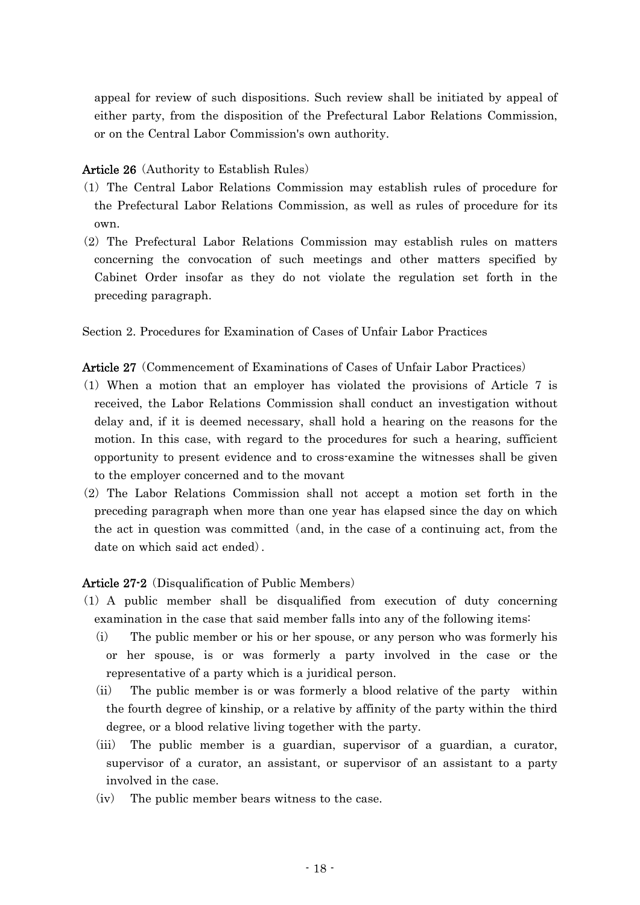appeal for review of such dispositions. Such review shall be initiated by appeal of either party, from the disposition of the Prefectural Labor Relations Commission, or on the Central Labor Commission's own authority.

## Article 26 (Authority to Establish Rules)

- ( )1 The Central Labor Relations Commission may establish rules of procedure for the Prefectural Labor Relations Commission, as well as rules of procedure for its own.
- (2) The Prefectural Labor Relations Commission may establish rules on matters concerning the convocation of such meetings and other matters specified by Cabinet Order insofar as they do not violate the regulation set forth in the preceding paragraph.

Section 2. Procedures for Examination of Cases of Unfair Labor Practices

Article 27 (Commencement of Examinations of Cases of Unfair Labor Practices)

- $(1)$  When a motion that an employer has violated the provisions of Article 7 is received, the Labor Relations Commission shall conduct an investigation without delay and, if it is deemed necessary, shall hold a hearing on the reasons for the motion. In this case, with regard to the procedures for such a hearing, sufficient opportunity to present evidence and to cross-examine the witnesses shall be given to the employer concerned and to the movant
- $(2)$  The Labor Relations Commission shall not accept a motion set forth in the preceding paragraph when more than one year has elapsed since the day on which the act in question was committed (and, in the case of a continuing act, from the date on which said act ended).

## Article 27-2 (Disqualification of Public Members)

- ( )1 A public member shall be disqualified from execution of duty concerning examination in the case that said member falls into any of the following items:
	- $(i)$  The public member or his or her spouse, or any person who was formerly his or her spouse, is or was formerly a party involved in the case or the representative of a party which is a juridical person.
	- $(i)$  The public member is or was formerly a blood relative of the party within the fourth degree of kinship, or a relative by affinity of the party within the third degree, or a blood relative living together with the party.
	- (iii) The public member is a guardian, supervisor of a guardian, a curator, supervisor of a curator, an assistant, or supervisor of an assistant to a party involved in the case.
	- $(iv)$  The public member bears witness to the case.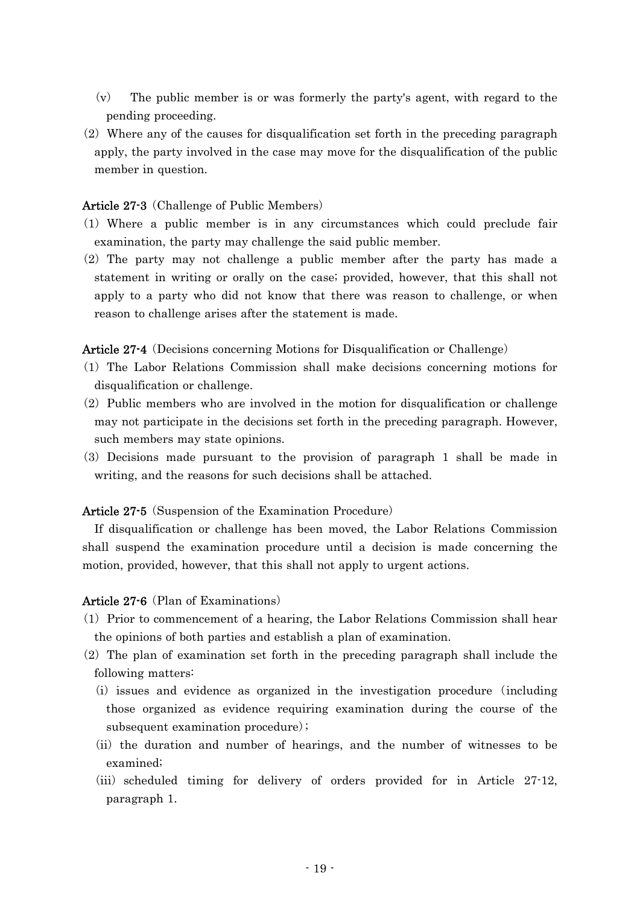- $(v)$  The public member is or was formerly the party's agent, with regard to the pending proceeding.
- $(2)$  Where any of the causes for disqualification set forth in the preceding paragraph apply, the party involved in the case may move for the disqualification of the public member in question.

## Article 27-3 (Challenge of Public Members)

- ( )1 Where a public member is in any circumstances which could preclude fair examination, the party may challenge the said public member.
- $(2)$  The party may not challenge a public member after the party has made a statement in writing or orally on the case; provided, however, that this shall not apply to a party who did not know that there was reason to challenge, or when reason to challenge arises after the statement is made.

Article 27-4 (Decisions concerning Motions for Disqualification or Challenge)

- ( )1 The Labor Relations Commission shall make decisions concerning motions for disqualification or challenge.
- $(2)$  Public members who are involved in the motion for disqualification or challenge may not participate in the decisions set forth in the preceding paragraph. However, such members may state opinions.
- ( )3 Decisions made pursuant to the provision of paragraph 1 shall be made in writing, and the reasons for such decisions shall be attached.

Article 27-5 (Suspension of the Examination Procedure)

If disqualification or challenge has been moved, the Labor Relations Commission shall suspend the examination procedure until a decision is made concerning the motion, provided, however, that this shall not apply to urgent actions.

### Article  $27-6$  (Plan of Examinations)

- ( )1 Prior to commencement of a hearing, the Labor Relations Commission shall hear the opinions of both parties and establish a plan of examination.
- $(2)$  The plan of examination set forth in the preceding paragraph shall include the following matters:
	- $(i)$  issues and evidence as organized in the investigation procedure (including those organized as evidence requiring examination during the course of the subsequent examination procedure);
	- (ii) the duration and number of hearings, and the number of witnesses to be examined;
	- $(iii)$  scheduled timing for delivery of orders provided for in Article 27-12, paragraph 1.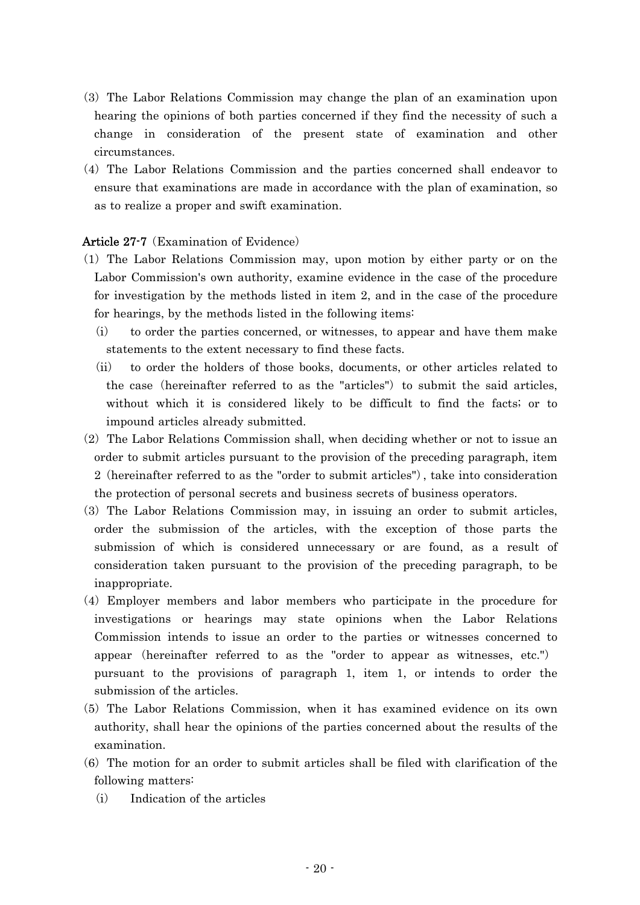- ( )3 The Labor Relations Commission may change the plan of an examination upon hearing the opinions of both parties concerned if they find the necessity of such a change in consideration of the present state of examination and other circumstances.
- (4) The Labor Relations Commission and the parties concerned shall endeavor to ensure that examinations are made in accordance with the plan of examination, so as to realize a proper and swift examination.

## Article 27-7 (Examination of Evidence)

- ( )1 The Labor Relations Commission may, upon motion by either party or on the Labor Commission's own authority, examine evidence in the case of the procedure for investigation by the methods listed in item 2, and in the case of the procedure for hearings, by the methods listed in the following items:
	- $(i)$  to order the parties concerned, or witnesses, to appear and have them make statements to the extent necessary to find these facts.
	- (ii) to order the holders of those books, documents, or other articles related to the case (hereinafter referred to as the "articles") to submit the said articles, without which it is considered likely to be difficult to find the facts; or to impound articles already submitted.
- $(2)$  The Labor Relations Commission shall, when deciding whether or not to issue an order to submit articles pursuant to the provision of the preceding paragraph, item  $2$  (hereinafter referred to as the "order to submit articles"), take into consideration the protection of personal secrets and business secrets of business operators.
- ( )3 The Labor Relations Commission may, in issuing an order to submit articles, order the submission of the articles, with the exception of those parts the submission of which is considered unnecessary or are found, as a result of consideration taken pursuant to the provision of the preceding paragraph, to be inappropriate.
- (4) Employer members and labor members who participate in the procedure for investigations or hearings may state opinions when the Labor Relations Commission intends to issue an order to the parties or witnesses concerned to appear (hereinafter referred to as the "order to appear as witnesses, etc.") pursuant to the provisions of paragraph 1, item 1, or intends to order the submission of the articles.
- (5) The Labor Relations Commission, when it has examined evidence on its own authority, shall hear the opinions of the parties concerned about the results of the examination.
- $(6)$  The motion for an order to submit articles shall be filed with clarification of the following matters:
	- (i) Indication of the articles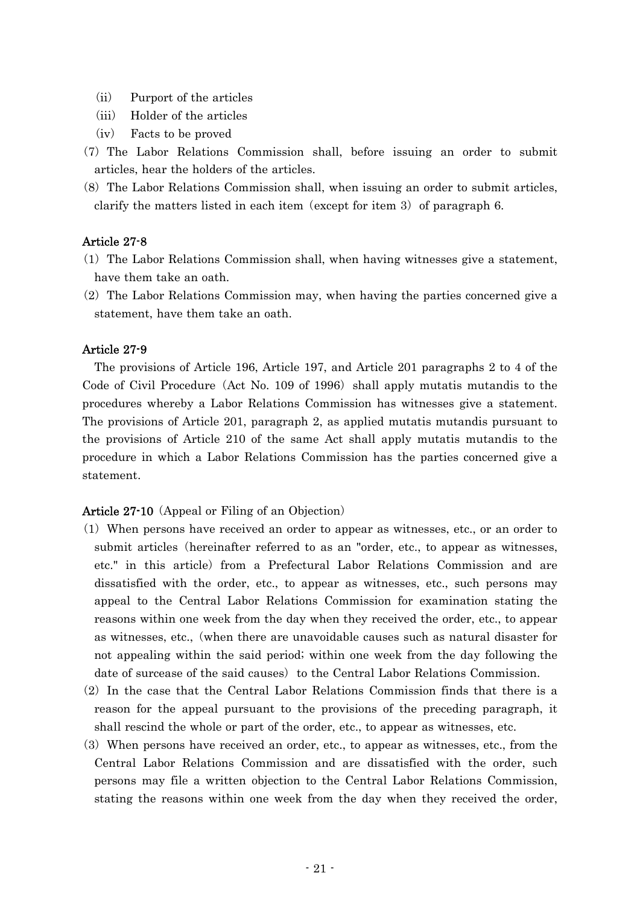- (ii) Purport of the articles
- (iii) Holder of the articles
- $(iv)$  Facts to be proved
- (7) The Labor Relations Commission shall, before issuing an order to submit articles, hear the holders of the articles.
- $(8)$  The Labor Relations Commission shall, when issuing an order to submit articles, clarify the matters listed in each item (except for item 3) of paragraph  $6$ .

### Article 27-8

- ( )1 The Labor Relations Commission shall, when having witnesses give a statement, have them take an oath.
- $(2)$  The Labor Relations Commission may, when having the parties concerned give a statement, have them take an oath.

#### Article 27-9

The provisions of Article 196, Article 197, and Article 201 paragraphs 2 to 4 of the Code of Civil Procedure (Act No. 109 of 1996) shall apply mutatis mutandis to the procedures whereby a Labor Relations Commission has witnesses give a statement. The provisions of Article 201, paragraph 2, as applied mutatis mutandis pursuant to the provisions of Article 210 of the same Act shall apply mutatis mutandis to the procedure in which a Labor Relations Commission has the parties concerned give a statement.

#### **Article 27-10** (Appeal or Filing of an Objection)

- ( )1 When persons have received an order to appear as witnesses, etc., or an order to submit articles (hereinafter referred to as an "order, etc., to appear as witnesses, etc." in this article) from a Prefectural Labor Relations Commission and are dissatisfied with the order, etc., to appear as witnesses, etc., such persons may appeal to the Central Labor Relations Commission for examination stating the reasons within one week from the day when they received the order, etc., to appear as witnesses, etc., when there are unavoidable causes such as natural disaster for ( not appealing within the said period; within one week from the day following the date of surcease of the said causes) to the Central Labor Relations Commission.
- $(2)$  In the case that the Central Labor Relations Commission finds that there is a reason for the appeal pursuant to the provisions of the preceding paragraph, it shall rescind the whole or part of the order, etc., to appear as witnesses, etc.
- (3) When persons have received an order, etc., to appear as witnesses, etc., from the Central Labor Relations Commission and are dissatisfied with the order, such persons may file a written objection to the Central Labor Relations Commission, stating the reasons within one week from the day when they received the order,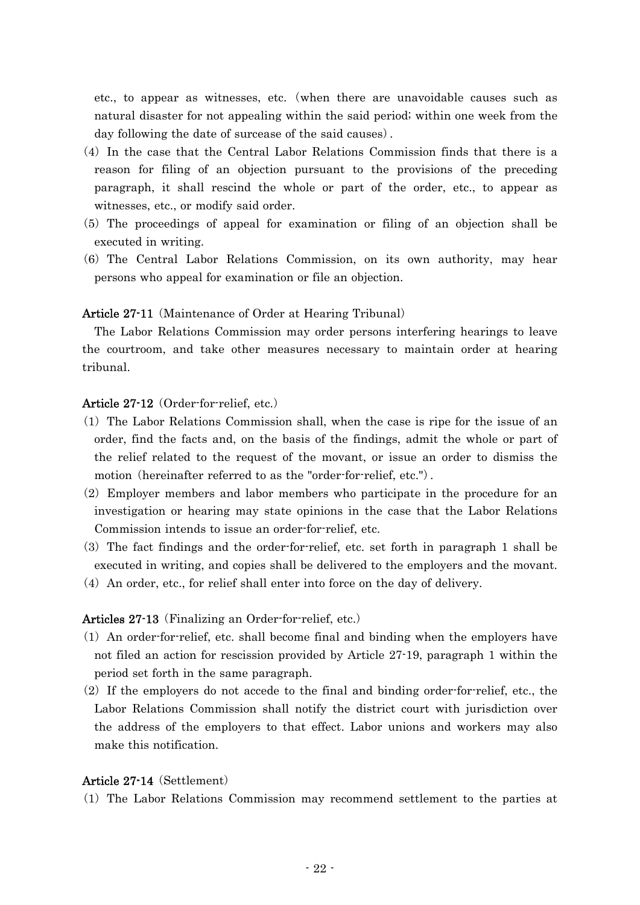etc., to appear as witnesses, etc. (when there are unavoidable causes such as natural disaster for not appealing within the said period; within one week from the day following the date of surcease of the said causes).

- $(4)$  In the case that the Central Labor Relations Commission finds that there is a reason for filing of an objection pursuant to the provisions of the preceding paragraph, it shall rescind the whole or part of the order, etc., to appear as witnesses, etc., or modify said order.
- ( )5 The proceedings of appeal for examination or filing of an objection shall be executed in writing.
- (6) The Central Labor Relations Commission, on its own authority, may hear persons who appeal for examination or file an objection.

#### **Article 27-11** (Maintenance of Order at Hearing Tribunal)

The Labor Relations Commission may order persons interfering hearings to leave the courtroom, and take other measures necessary to maintain order at hearing tribunal.

#### Article  $27-12$  (Order-for-relief, etc.)

- $(1)$  The Labor Relations Commission shall, when the case is ripe for the issue of an order, find the facts and, on the basis of the findings, admit the whole or part of the relief related to the request of the movant, or issue an order to dismiss the motion (hereinafter referred to as the "order-for-relief, etc.").
- $(2)$  Employer members and labor members who participate in the procedure for an investigation or hearing may state opinions in the case that the Labor Relations Commission intends to issue an order-for-relief, etc.
- (3) The fact findings and the order-for-relief, etc. set forth in paragraph 1 shall be executed in writing, and copies shall be delivered to the employers and the movant.
- $(4)$  An order, etc., for relief shall enter into force on the day of delivery.

## Articles 27-13 (Finalizing an Order-for-relief, etc.)

- $(1)$  An order-for-relief, etc. shall become final and binding when the employers have not filed an action for rescission provided by Article 27-19, paragraph 1 within the period set forth in the same paragraph.
- $(2)$  If the employers do not accede to the final and binding order-for-relief, etc., the Labor Relations Commission shall notify the district court with jurisdiction over the address of the employers to that effect. Labor unions and workers may also make this notification.

#### Article 27-14 (Settlement)

( )1 The Labor Relations Commission may recommend settlement to the parties at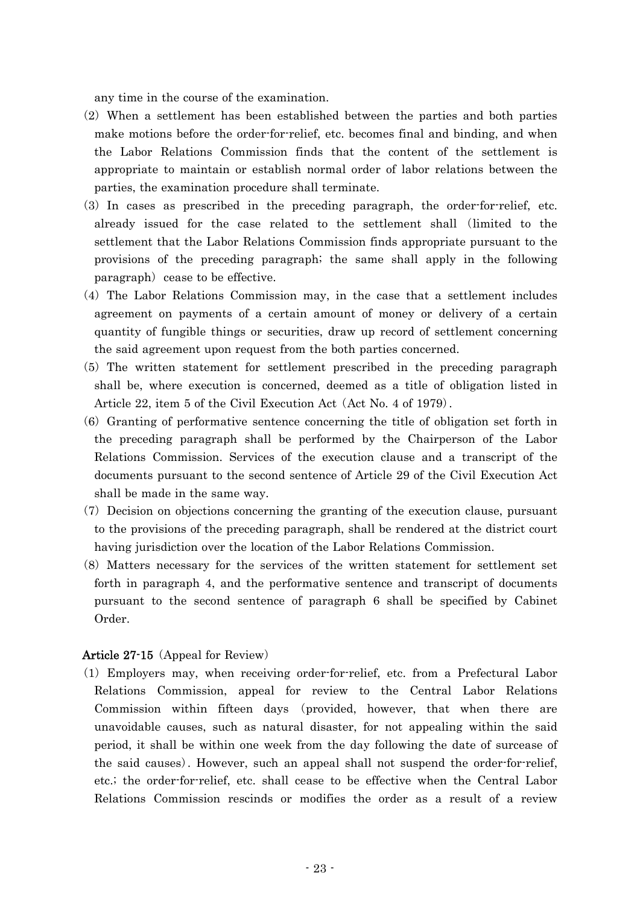any time in the course of the examination.

- $(2)$  When a settlement has been established between the parties and both parties make motions before the order-for-relief, etc. becomes final and binding, and when the Labor Relations Commission finds that the content of the settlement is appropriate to maintain or establish normal order of labor relations between the parties, the examination procedure shall terminate.
- (3) In cases as prescribed in the preceding paragraph, the order-for-relief, etc. already issued for the case related to the settlement shall (limited to the settlement that the Labor Relations Commission finds appropriate pursuant to the provisions of the preceding paragraph; the same shall apply in the following paragraph cease to be effective.
- $(4)$  The Labor Relations Commission may, in the case that a settlement includes agreement on payments of a certain amount of money or delivery of a certain quantity of fungible things or securities, draw up record of settlement concerning the said agreement upon request from the both parties concerned.
- (5) The written statement for settlement prescribed in the preceding paragraph shall be, where execution is concerned, deemed as a title of obligation listed in Article 22, item 5 of the Civil Execution Act  $(Act No. 4 of 1979)$ .
- $(6)$  Granting of performative sentence concerning the title of obligation set forth in the preceding paragraph shall be performed by the Chairperson of the Labor Relations Commission. Services of the execution clause and a transcript of the documents pursuant to the second sentence of Article 29 of the Civil Execution Act shall be made in the same way.
- $(7)$  Decision on objections concerning the granting of the execution clause, pursuant to the provisions of the preceding paragraph, shall be rendered at the district court having jurisdiction over the location of the Labor Relations Commission.
- (8) Matters necessary for the services of the written statement for settlement set forth in paragraph 4, and the performative sentence and transcript of documents pursuant to the second sentence of paragraph 6 shall be specified by Cabinet Order.

### Article 27-15 (Appeal for Review)

( )1 Employers may, when receiving order-for-relief, etc. from a Prefectural Labor Relations Commission, appeal for review to the Central Labor Relations Commission within fifteen days (provided, however, that when there are unavoidable causes, such as natural disaster, for not appealing within the said period, it shall be within one week from the day following the date of surcease of the said causes). However, such an appeal shall not suspend the order-for-relief, etc.; the order-for-relief, etc. shall cease to be effective when the Central Labor Relations Commission rescinds or modifies the order as a result of a review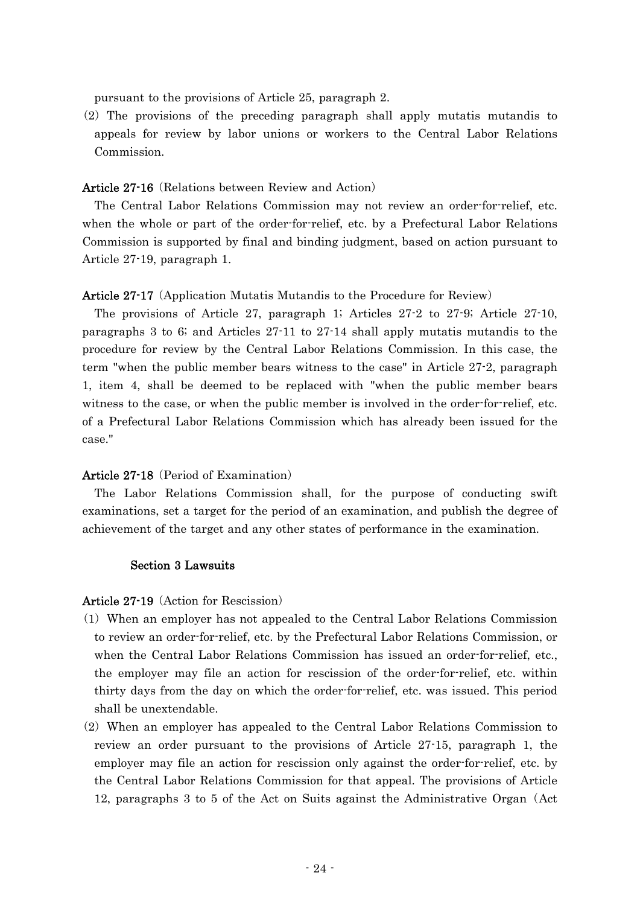pursuant to the provisions of Article 25, paragraph 2.

 $(2)$  The provisions of the preceding paragraph shall apply mutatis mutandis to appeals for review by labor unions or workers to the Central Labor Relations Commission.

### Article 27-16 (Relations between Review and Action)

The Central Labor Relations Commission may not review an order-for-relief, etc. when the whole or part of the order-for-relief, etc. by a Prefectural Labor Relations Commission is supported by final and binding judgment, based on action pursuant to Article 27-19, paragraph 1.

#### Article 27-17 (Application Mutatis Mutandis to the Procedure for Review)

The provisions of Article 27, paragraph 1; Articles 27-2 to 27-9; Article 27-10, paragraphs 3 to 6; and Articles 27-11 to 27-14 shall apply mutatis mutandis to the procedure for review by the Central Labor Relations Commission. In this case, the term "when the public member bears witness to the case" in Article 27-2, paragraph 1, item 4, shall be deemed to be replaced with "when the public member bears witness to the case, or when the public member is involved in the order-for-relief, etc. of a Prefectural Labor Relations Commission which has already been issued for the case."

#### Article 27-18 (Period of Examination)

The Labor Relations Commission shall, for the purpose of conducting swift examinations, set a target for the period of an examination, and publish the degree of achievement of the target and any other states of performance in the examination.

#### Section 3 Lawsuits

#### Article 27-19 (Action for Rescission)

- ( )1 When an employer has not appealed to the Central Labor Relations Commission to review an order-for-relief, etc. by the Prefectural Labor Relations Commission, or when the Central Labor Relations Commission has issued an order-for-relief, etc., the employer may file an action for rescission of the order-for-relief, etc. within thirty days from the day on which the order-for-relief, etc. was issued. This period shall be unextendable.
- $(2)$  When an employer has appealed to the Central Labor Relations Commission to review an order pursuant to the provisions of Article 27-15, paragraph 1, the employer may file an action for rescission only against the order-for-relief, etc. by the Central Labor Relations Commission for that appeal. The provisions of Article 12, paragraphs 3 to 5 of the Act on Suits against the Administrative Organ (Act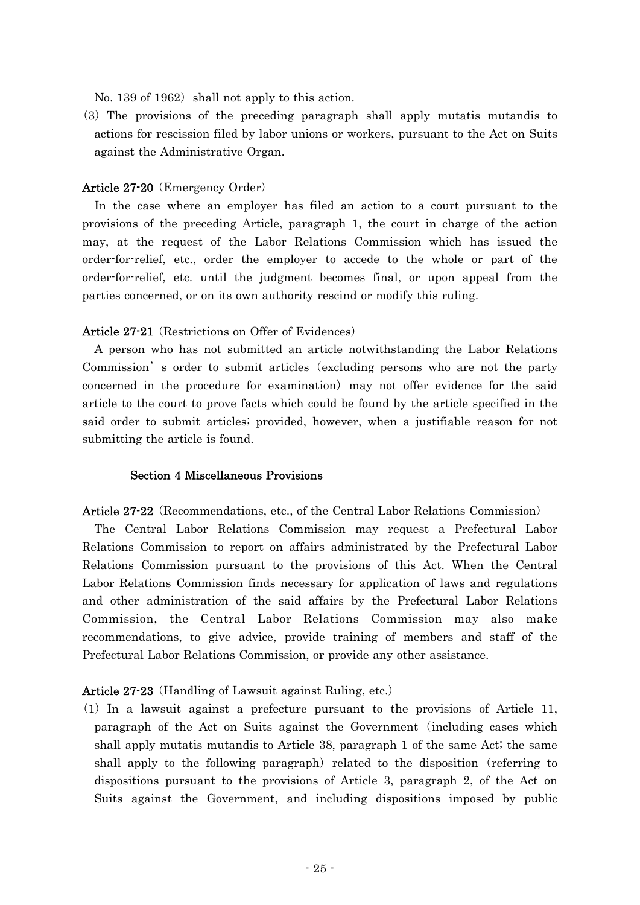No. 139 of 1962) shall not apply to this action.

( )3 The provisions of the preceding paragraph shall apply mutatis mutandis to actions for rescission filed by labor unions or workers, pursuant to the Act on Suits against the Administrative Organ.

### Article 27-20 (Emergency Order)

In the case where an employer has filed an action to a court pursuant to the provisions of the preceding Article, paragraph 1, the court in charge of the action may, at the request of the Labor Relations Commission which has issued the order-for-relief, etc., order the employer to accede to the whole or part of the order-for-relief, etc. until the judgment becomes final, or upon appeal from the parties concerned, or on its own authority rescind or modify this ruling.

### Article 27-21 (Restrictions on Offer of Evidences)

A person who has not submitted an article notwithstanding the Labor Relations Commission' s order to submit articles (excluding persons who are not the party concerned in the procedure for examination) may not offer evidence for the said article to the court to prove facts which could be found by the article specified in the said order to submit articles; provided, however, when a justifiable reason for not submitting the article is found.

#### Section 4 Miscellaneous Provisions

Article 27-22 (Recommendations, etc., of the Central Labor Relations Commission)

The Central Labor Relations Commission may request a Prefectural Labor Relations Commission to report on affairs administrated by the Prefectural Labor Relations Commission pursuant to the provisions of this Act. When the Central Labor Relations Commission finds necessary for application of laws and regulations and other administration of the said affairs by the Prefectural Labor Relations Commission, the Central Labor Relations Commission may also make recommendations, to give advice, provide training of members and staff of the Prefectural Labor Relations Commission, or provide any other assistance.

### Article 27-23 (Handling of Lawsuit against Ruling, etc.)

 $(1)$  In a lawsuit against a prefecture pursuant to the provisions of Article 11, paragraph of the Act on Suits against the Government including cases which ( shall apply mutatis mutandis to Article 38, paragraph 1 of the same Act; the same shall apply to the following paragraph) related to the disposition (referring to dispositions pursuant to the provisions of Article 3, paragraph 2, of the Act on Suits against the Government, and including dispositions imposed by public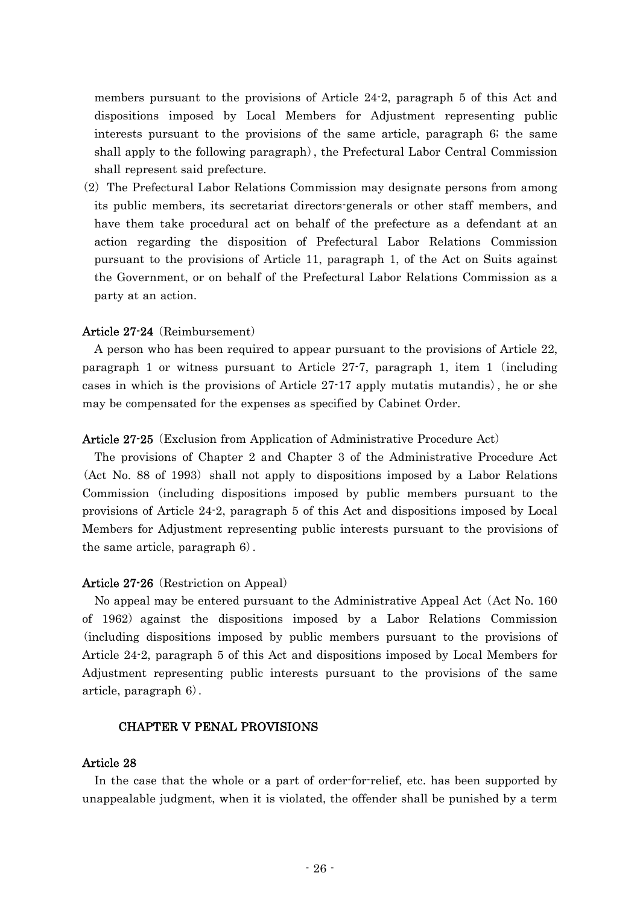members pursuant to the provisions of Article 24-2, paragraph 5 of this Act and dispositions imposed by Local Members for Adjustment representing public interests pursuant to the provisions of the same article, paragraph 6; the same shall apply to the following paragraph), the Prefectural Labor Central Commission shall represent said prefecture.

 $(2)$  The Prefectural Labor Relations Commission may designate persons from among its public members, its secretariat directors-generals or other staff members, and have them take procedural act on behalf of the prefecture as a defendant at an action regarding the disposition of Prefectural Labor Relations Commission pursuant to the provisions of Article 11, paragraph 1, of the Act on Suits against the Government, or on behalf of the Prefectural Labor Relations Commission as a party at an action.

### Article  $27-24$  (Reimbursement)

A person who has been required to appear pursuant to the provisions of Article 22, paragraph 1 or witness pursuant to Article  $27-7$ , paragraph 1, item 1 (including cases in which is the provisions of Article  $27-17$  apply mutatis mutandis), he or she may be compensated for the expenses as specified by Cabinet Order.

#### Article 27-25 (Exclusion from Application of Administrative Procedure Act)

The provisions of Chapter 2 and Chapter 3 of the Administrative Procedure Act (Act No. 88 of 1993) shall not apply to dispositions imposed by a Labor Relations Commission (including dispositions imposed by public members pursuant to the provisions of Article 24-2, paragraph 5 of this Act and dispositions imposed by Local Members for Adjustment representing public interests pursuant to the provisions of the same article, paragraph  $6$ .

### Article 27-26 (Restriction on Appeal)

No appeal may be entered pursuant to the Administrative Appeal Act (Act No. 160) of 1962) against the dispositions imposed by a Labor Relations Commission (including dispositions imposed by public members pursuant to the provisions of Article 24-2, paragraph 5 of this Act and dispositions imposed by Local Members for Adjustment representing public interests pursuant to the provisions of the same article, paragraph  $6$ .

#### CHAPTER V PENAL PROVISIONS

#### Article 28

In the case that the whole or a part of order-for-relief, etc. has been supported by unappealable judgment, when it is violated, the offender shall be punished by a term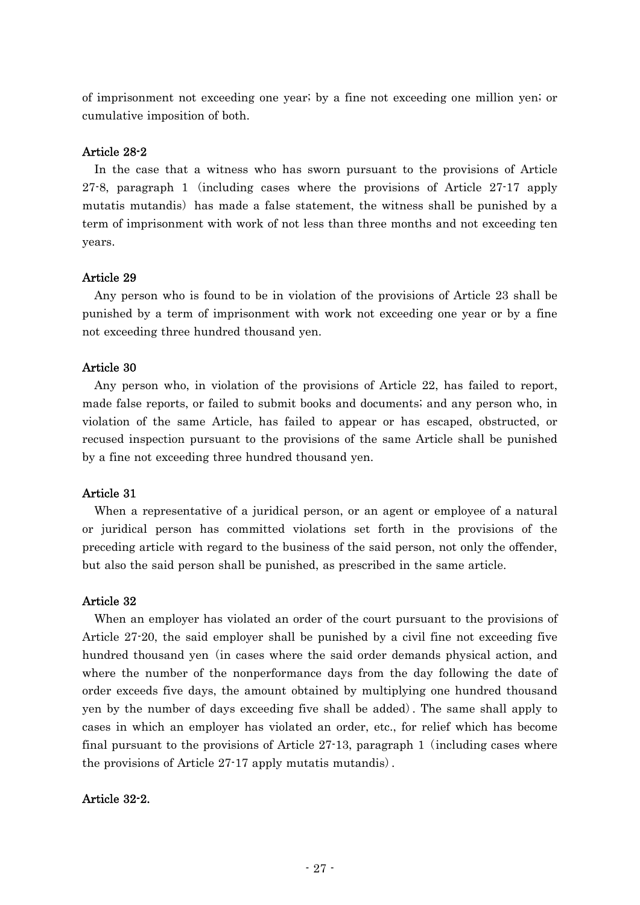of imprisonment not exceeding one year; by a fine not exceeding one million yen; or cumulative imposition of both.

## Article 28-2

In the case that a witness who has sworn pursuant to the provisions of Article 27-8, paragraph 1 (including cases where the provisions of Article  $27-17$  apply mutatis mutandis) has made a false statement, the witness shall be punished by a term of imprisonment with work of not less than three months and not exceeding ten years.

## Article 29

Any person who is found to be in violation of the provisions of Article 23 shall be punished by a term of imprisonment with work not exceeding one year or by a fine not exceeding three hundred thousand yen.

## Article 30

Any person who, in violation of the provisions of Article 22, has failed to report, made false reports, or failed to submit books and documents; and any person who, in violation of the same Article, has failed to appear or has escaped, obstructed, or recused inspection pursuant to the provisions of the same Article shall be punished by a fine not exceeding three hundred thousand yen.

## Article 31

When a representative of a juridical person, or an agent or employee of a natural or juridical person has committed violations set forth in the provisions of the preceding article with regard to the business of the said person, not only the offender, but also the said person shall be punished, as prescribed in the same article.

## Article 32

When an employer has violated an order of the court pursuant to the provisions of Article 27-20, the said employer shall be punished by a civil fine not exceeding five hundred thousand yen (in cases where the said order demands physical action, and where the number of the nonperformance days from the day following the date of order exceeds five days, the amount obtained by multiplying one hundred thousand yen by the number of days exceeding five shall be added . The same shall apply to ) cases in which an employer has violated an order, etc., for relief which has become final pursuant to the provisions of Article  $27-13$ , paragraph 1 (including cases where the provisions of Article  $27-17$  apply mutatis mutandis.

## Article 32-2.